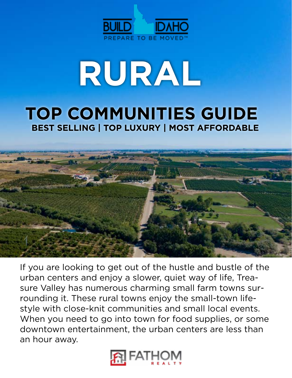

# **RURAL**

# **TOP COMMUNITIES GUIDE BEST SELLING | TOP LUXURY | MOST AFFORDABLE**



If you are looking to get out of the hustle and bustle of the urban centers and enjoy a slower, quiet way of life, Treasure Valley has numerous charming small farm towns surrounding it. These rural towns enjoy the small-town lifestyle with close-knit communities and small local events. When you need to go into town for food supplies, or some downtown entertainment, the urban centers are less than an hour away.

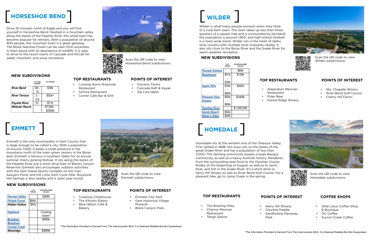### \*The Information Provided Is Derived From The Intermountain MLS. It Is Deemed Reliable But Not Guaranteed.

**NEW SUBDIVISIONS**

**[River Bend](http://River Bend)** .08 -

*[River Terrace](http://River Terrace)* 2 -

Scan the QR code to view Horseshoe Bend subdivisions.

# **EMMETT**  $[$  EMMETT  $]$

**LOT SIZE (ACRES)**

**LOT PRICES**

10

\$30k

5.8

*[Payette River](http://Payette River)*  $\begin{array}{|c|c|c|} 5+ & $371k \end{array}$ **[Webster Ranch](http://Webster Ranch) | \$125k -**

\$52k+

\$300k





# **HOMEDALE**  $[$  HOMEDALE  $]$

Emmett is the only municipality in Gem County that is large enough to be called a city. With a population of around 7,000, it keeps a small presence in the mountains north of the main urban centers in the Boise area. Emmett is famous in southern Idaho for its annual summer cherry picking festival. It sits along the banks of the Payette River just a short drive East of Blacks Canyon Reservoir. Emmett also encourages outdoor activities with the Gem Island Sports Complex on the river, Sawyers Pond, and the Little Gem Cycle Park. Roystone Hot Springs is also nearby and is open year-round.

Scan the QR code to view Emmett subdivisions.



Scan the QR code to view Wilder subdivisions.

Homedale sits at the western end of the Treasure Valley. First settled in 1898, this town sits on the banks of the great Snake River and has a population of less than 3,000. This farming community boasts a large Basque community, as well as a heavy Austrian history. Residents from the surrounding area flock to the Owyhee County Rodeo at the beginning of August, as well as to swim, float, and fish in the Snake River. It's a short drive to Kerry Hill Winery as well as River Bend Golf Course. For a pleasant hike, go to Jump Creek in the spring.

Scan the QR code to view Homedale subdivisions.





# **HORSESHOE BEND** HORSESHOE BEND

Drive 20 minutes north of Eagle and you will find yourself in Horseshoe Bend. Nestled in a mountain valley along the banks of the Payette River, this small town has become popular for retirees. With a population of around 900 people, this mountain town is a great getaway. The Boise National Forest can be seen from anywhere in town along with an abundance of wildlife. It is easy to drive to the resort towns of Cascade and McCall for water, mountain, and snow recreation.

> **TOP RESTAURANTS** • Locking Horns Riverside

> > Restaurant

• Sonora Restaurant • Corner Cafe Bar & Grill

- Volcanic Farms
- Cascade Raft & Kayak
- Zip Line Idaho

|                       | LOT<br><b>PRICES</b> | <b>STARTING HOME</b><br><b>VALUES</b> |
|-----------------------|----------------------|---------------------------------------|
| <b>Harvest Valley</b> |                      | \$286k                                |
| <b>Pickett Corral</b> | \$64k-               |                                       |
| <b>Hidden Hollow</b>  | \$91k                |                                       |
|                       |                      |                                       |
| <b>Highland</b>       |                      | Coming                                |
|                       |                      | soon!                                 |
| <b>Brooklyn</b>       |                      | \$565k                                |
| <b>Meadows</b>        |                      |                                       |
| <b>Crystal Creek</b>  |                      |                                       |
| Westridge             |                      | \$985k                                |



# **TOP RESTAURANTS POINTS OF INTEREST**

• Cowboys Chophouse • The Kitchen Eatery • Blue ribbon Cafe &

Bakery

- Emmett City Park
- Gem Historical Village Museum
- Black Canyon Park

Wilder is what many people envision when they think of a rural farm town. The town takes up less than threequarters of a square mile and is surrounded by farmland, the population is around 1,900, and high school football is a town-wide event. Wilder sits in the heart of Idaho wine country with multiple local vineyards nearby. It also sits close to the Boise River and the Snake River for warm-weather recreation.

### **NEW SUBDIVISIONS**

|                        | LOT<br><b>PRICES</b> | <b>STARTING HOME</b><br><b>VALUES</b> |
|------------------------|----------------------|---------------------------------------|
| <b>Pioneer Estates</b> |                      | \$89k                                 |
| Rosehaven              | \$31k                | \$129k                                |
|                        |                      |                                       |
|                        | \$39k                |                                       |
| <b>Apple Hills</b>     | \$35k                | \$262k                                |
|                        |                      |                                       |
|                        | \$40k                |                                       |
| <b>Pleasant View</b>   | \$55k                | \$345k                                |
| <b>Estates</b>         |                      |                                       |
|                        | \$69k                |                                       |
| <b>Owyhee River</b>    |                      | \$1,000,000                           |
| <b>Sandy Beach</b>     | \$52k                |                                       |
| <b>Water's Edge</b>    | \$45k                |                                       |
|                        |                      |                                       |

# **TOP RESTAURANTS POINTS OF INTEREST**

- Restaurant
- Polar Bear
- 
- Alejandra's Mexican
	-
	-
	- Parma Ridge Winery
- Ste. Chapelle Winery
- River Bend Golf Course
- Cherry Hill Farms



- 
- 



# **TOP RESTAURANTS POINTS OF INTEREST**

- The Bowling Alley
- Charros Mexican

Restaurant • Tango Saloon

• Kerry Hill Winery • Owyhee Paddle • Sandhollow Raceway

Park

# **COFFEE SHOPS**

- Wild Lotus Coffee Shop & Boutique
- OC Coffee
- Succor Creek Coffee

# **POINTS OF INTEREST**

# **NEW SUBDIVISIONS**